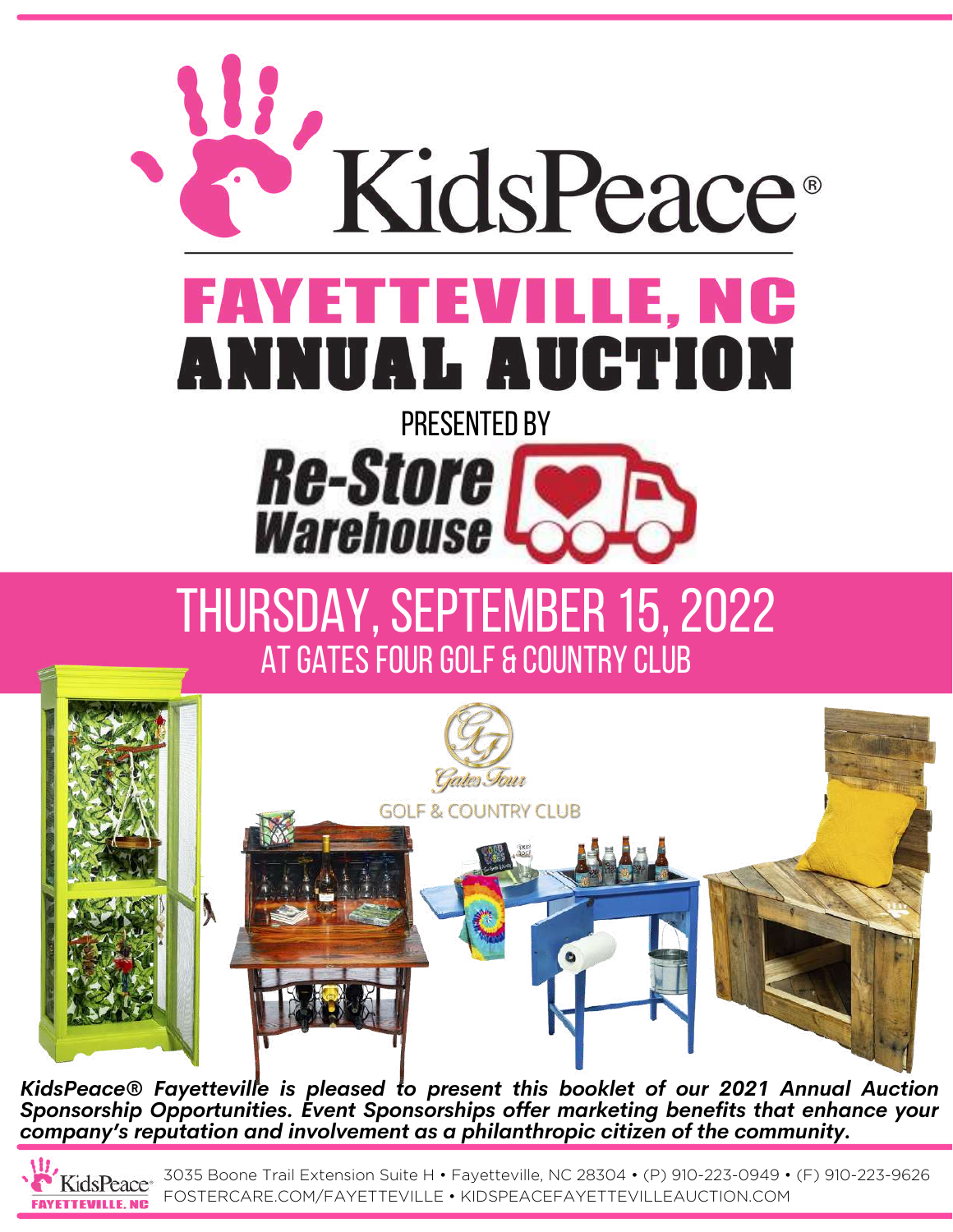

# THURSDAY, SEPTEMBER 15, 2022 AT GATES FOUR GOLF & COUNTRY CLUB



*KidsPeace® Fayetteville is pleased to present this booklet of our 2021 Annual Auction Sponsorship Opportunities. Event Sponsorships offer marketing benefits that enhance your company's reputation and involvement as a philanthropic citizen of the community.*

**FAYETTEVILLE, NC** 

3035 Boone Trail Extension Suite H • Fayetteville, NC 28304 • (P) 910-223-0949 • (F) 910-223-9626 FOSTERCARE.COM/FAYETTEVILLE • KIDSPEACEFAYETTEVILLEAUCTION.COM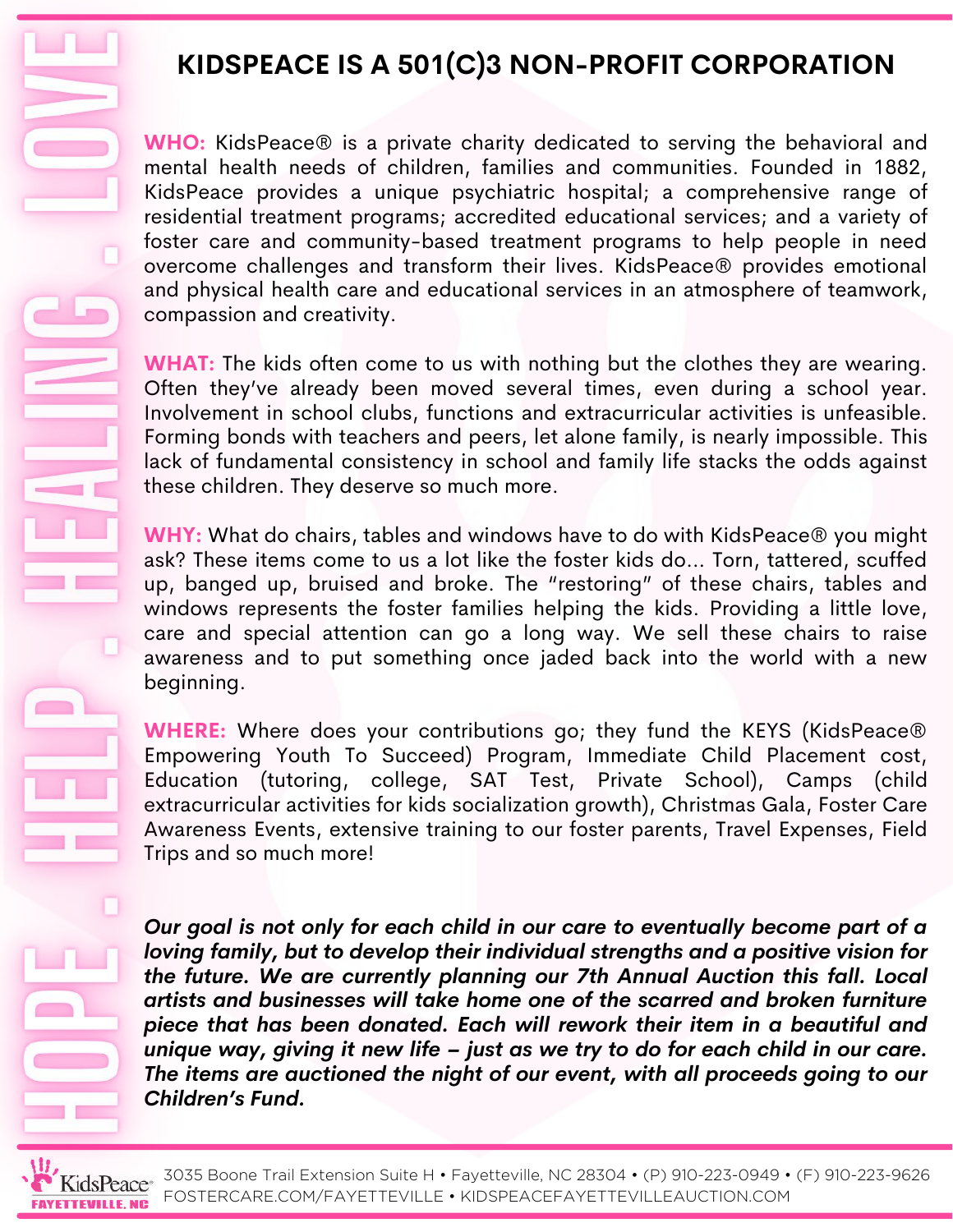# **KIDSPEACE IS A 501(C)3 NON-PROFIT CORPORATION**

**WHO:** KidsPeace® is a private charity dedicated to serving the behavioral and mental health needs of children, families and communities. Founded in 1882, KidsPeace provides a unique psychiatric hospital; a comprehensive range of residential treatment programs; accredited educational services; and a variety of foster care and community-based treatment programs to help people in need overcome challenges and transform their lives. KidsPeace® provides emotional and physical health care and educational services in an atmosphere of teamwork, compassion and creativity.

**WHAT:** The kids often come to us with nothing but the clothes they are wearing. Often they've already been moved several times, even during a school year. Involvement in school clubs, functions and extracurricular activities is unfeasible. Forming bonds with teachers and peers, let alone family, is nearly impossible. This lack of fundamental consistency in school and family life stacks the odds against these children. They deserve so much more.

**WHY:** What do chairs, tables and windows have to do with KidsPeace® you might ask? These items come to us a lot like the foster kids do… Torn, tattered, scuffed up, banged up, bruised and broke. The "restoring" of these chairs, tables and windows represents the foster families helping the kids. Providing a little love, care and special attention can go a long way. We sell these chairs to raise awareness and to put something once jaded back into the world with a new beginning.

**WHERE:** Where does your contributions go; they fund the KEYS (KidsPeace® Empowering Youth To Succeed) Program, Immediate Child Placement cost, Education (tutoring, college, SAT Test, Private School), Camps (child extracurricular activities for kids socialization growth), Christmas Gala, Foster Care Awareness Events, extensive training to our foster parents, Travel Expenses, Field Trips and so much more!

*Our goal is not only for each child in our care to eventually become part of a loving family, but to develop their individual strengths and a positive vision for the future. We are currently planning our 7th Annual Auction this fall. Local artists and businesses will take home one of the scarred and broken furniture piece that has been donated. Each will rework their item in a beautiful and unique way, giving it new life – just as we try to do for each child in our care. The items are auctioned the night of our event, with all proceeds going to our Children's Fund.*



 $\Box$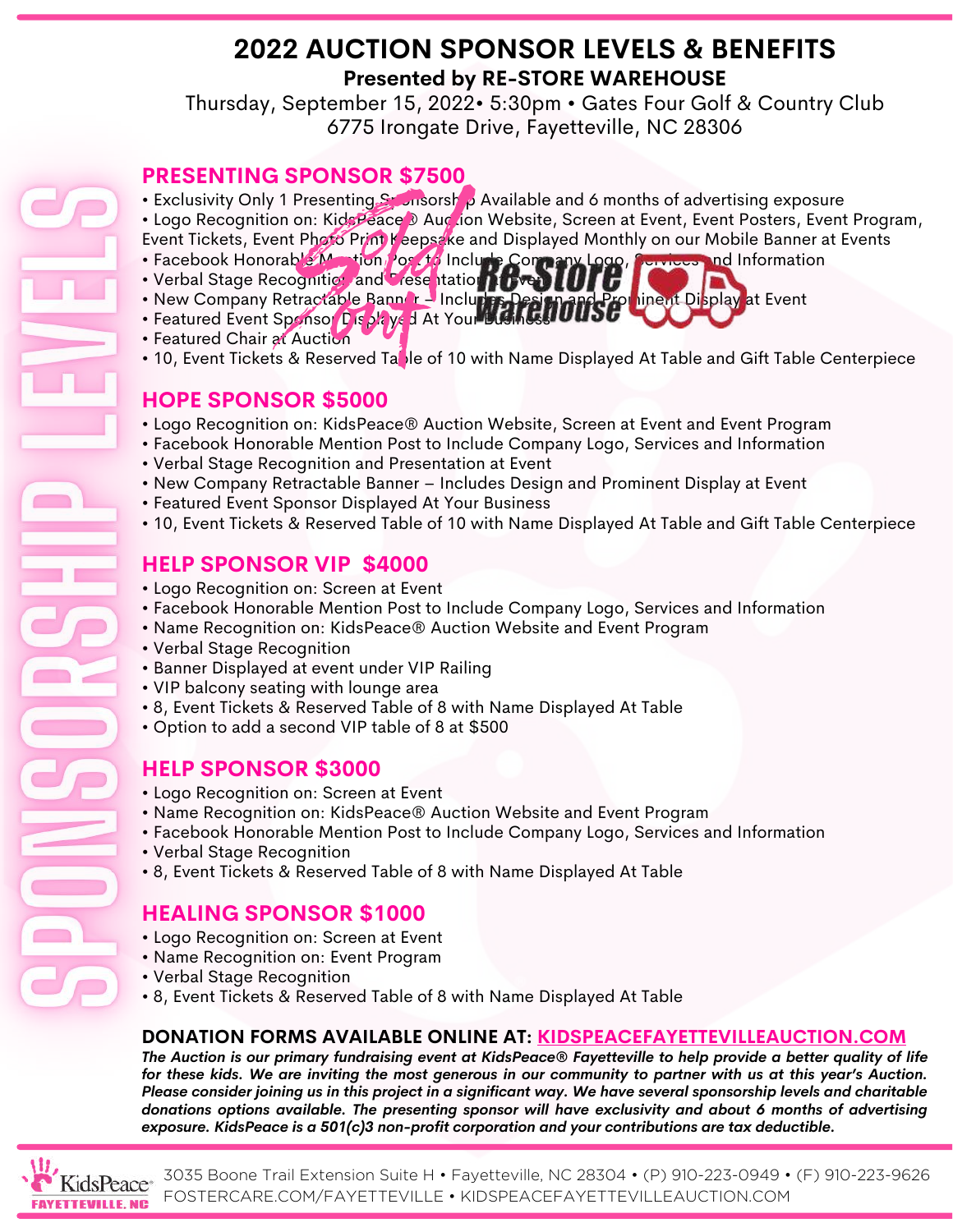# **2022 AUCTION SPONSOR LEVELS & BENEFITS Presented by RE-STORE WAREHOUSE**

Thursday, September 15, 2022• 5:30pm • Gates Four Golf & Country Club 6775 Irongate Drive, Fayetteville, NC 28306

#### **PRESENTING SPONSOR \$7500**

- Exclusivity Only 1 Presenting Sponsorship Available and 6 months of advertising exposure
- Logo Recognition on: KidsPeace<sup>®</sup> Auction Website, Screen at Event, Event Posters, Event Program, Event Tickets, Event Photo Print Keepsake and Displayed Monthly on our Mobile Banner at Events
- Facebook Honorable Mantion Post to Include Company Logo, Services and Information
- Verbal Stage Recognition and Presentation at Event UITE
- New Company Retractable Banner Inclu**ries Design and Prom**inent Display at Event
- Featured Event Sponsor Displaye d At Your Bush Ness
- Featured Chair at Auction
- 10, Event Tickets & Reserved Table of 10 with Name Displayed At Table and Gift Table Centerpiece

### **HOPE SPONSOR \$5000**

- Logo Recognition on: KidsPeace® Auction Website, Screen at Event and Event Program
- Facebook Honorable Mention Post to Include Company Logo, Services and Information
- Verbal Stage Recognition and Presentation at Event
- New Company Retractable Banner Includes Design and Prominent Display at Event
- Featured Event Sponsor Displayed At Your Business
- 10, Event Tickets & Reserved Table of 10 with Name Displayed At Table and Gift Table Centerpiece

### **HELP SPONSOR VIP \$4000**

- Logo Recognition on: Screen at Event
- Facebook Honorable Mention Post to Include Company Logo, Services and Information
- Name Recognition on: KidsPeace® Auction Website and Event Program
- Verbal Stage Recognition
- Banner Displayed at event under VIP Railing
- VIP balcony seating with lounge area
- 8, Event Tickets & Reserved Table of 8 with Name Displayed At Table
- Option to add a second VIP table of 8 at \$500

#### **HELP SPONSOR \$3000**

- Logo Recognition on: Screen at Event
- Name Recognition on: KidsPeace® Auction Website and Event Program
- Facebook Honorable Mention Post to Include Company Logo, Services and Information
- Verbal Stage Recognition
- 8, Event Tickets & Reserved Table of 8 with Name Displayed At Table

# **HEALING SPONSOR \$1000**

- Logo Recognition on: Screen at Event
- Name Recognition on: Event Program
- Verbal Stage Recognition
- 8, Event Tickets & Reserved Table of 8 with Name Displayed At Table

#### **DONATION FORMS AVAILABLE ONLINE AT: [KIDSPEACEFAYETTEVILLEAUCTION.COM](http://kidspeacefayettevilleauction.com/)**

The Auction is our primary fundraising event at KidsPeace® Fayetteville to help provide a better quality of life for these kids. We are inviting the most generous in our community to partner with us at this year's Auction. Please consider joining us in this project in a significant way. We have several sponsorship levels and charitable *donations options available. The presenting sponsor will have exclusivity and about 6 months of advertising exposure. KidsPeace is a 501(c)3 non-profit corporation and your contributions are tax deductible.*

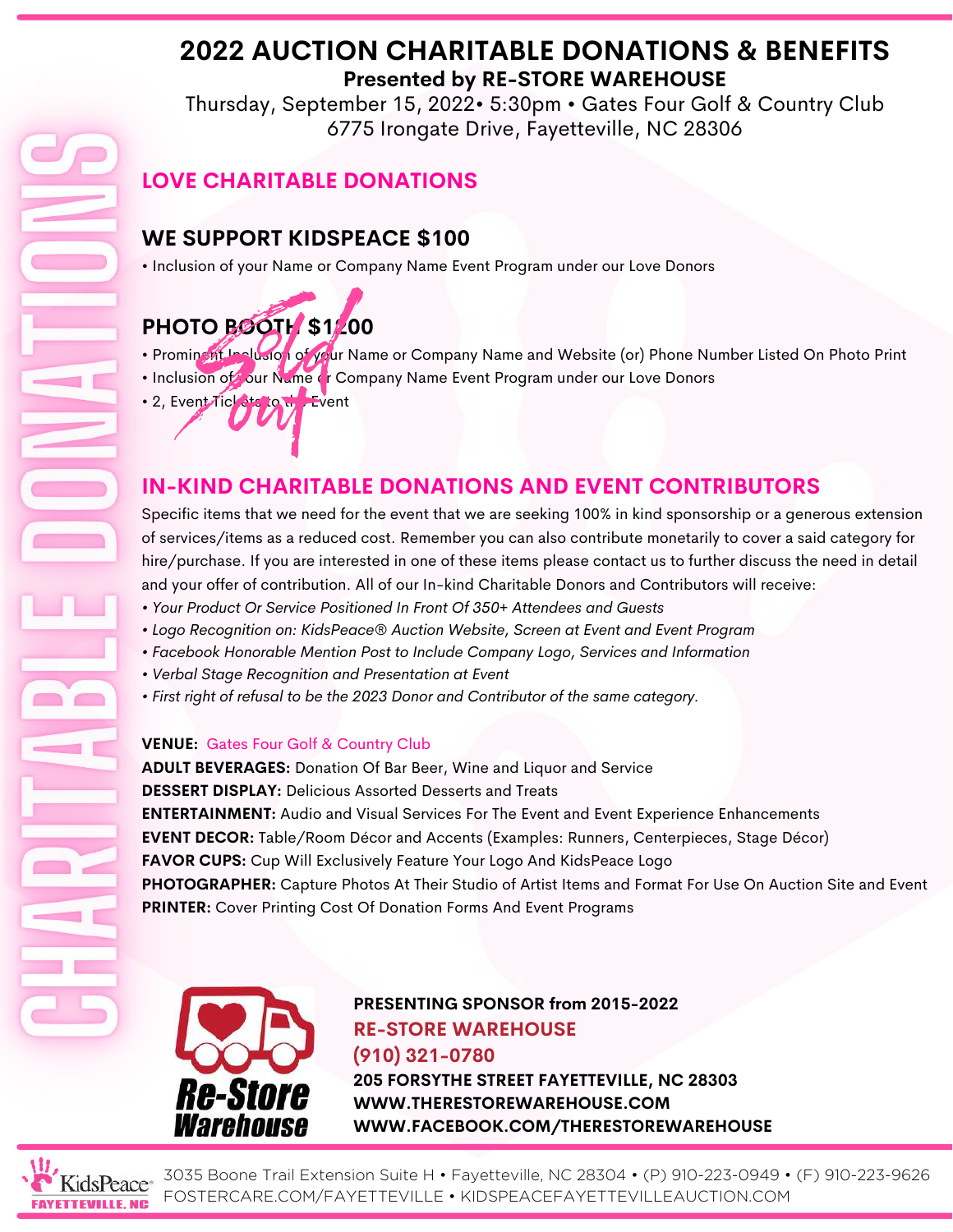# **2022 AUCTION CHARITABLE DONATIONS & BENEFITS Presented by RE-STORE WAREHOUSE**

Thursday, September 15, 2022• 5:30pm • Gates Four Golf & Country Club 6775 Irongate Drive, Fayetteville, NC 28306

# **LOVE CHARITABLE DONATIONS**

# **WE SUPPORT KIDSPEACE \$100**

• Inclusion of your Name or Company Name Event Program under our Love Donors

# **PHOTO BOOTH \$1200**

- Prominent Inclusion of your Name or Company Name and Website (or) Phone Number Listed On Photo Print
- Inclusion of our Name or Company Name Event Program under our Love Donors
- 2, Event Tickets to the Event

# **IN-KIND CHARITABLE DONATIONS AND EVENT CONTRIBUTORS**

Specific items that we need for the event that we are seeking 100% in kind sponsorship or a generous extension of services/items as a reduced cost. Remember you can also contribute monetarily to cover a said category for hire/purchase. If you are interested in one of these items please contact us to further discuss the need in detail and your offer of contribution. All of our In-kind Charitable Donors and Contributors will receive:

- *• Your Product Or Service Positioned In Front Of 350+ Attendees and Guests*
- *• Logo Recognition on: KidsPeace® Auction Website, Screen at Event and Event Program*
- *• Facebook Honorable Mention Post to Include Company Logo, Services and Information*
- *• Verbal Stage Recognition and Presentation at Event*
- *• First right of refusal to be the 2023 Donor and Contributor of the same category.*

#### **VENUE:** Gates Four Golf & Country Club

**ADULT BEVERAGES:** Donation Of Bar Beer, Wine and Liquor and Service **DESSERT DISPLAY:** Delicious Assorted Desserts and Treats **ENTERTAINMENT:** Audio and Visual Services For The Event and Event Experience Enhancements **EVENT DECOR:** Table/Room Décor and Accents (Examples: Runners, Centerpieces, Stage Décor) **FAVOR CUPS:** Cup Will Exclusively Feature Your Logo And KidsPeace Logo **PHOTOGRAPHER:** Capture Photos At Their Studio of Artist Items and Format For Use On Auction Site and Event **PRINTER:** Cover Printing Cost Of Donation Forms And Event Programs



**PRESENTING SPONSOR from 2015-2022 RE-STORE WAREHOUSE (910) 321-0780 205 FORSYTHE STREET FAYETTEVILLE, NC 28303 [WWW.THERESTOREWAREHOUSE.COM](http://www.therestorewarehouse.com/) [WWW.FACEBOOK.COM/THERESTOREWAREHOUSE](http://www.facebook.com/THERESTOREWAREHOUSE)**



3035 Boone Trail Extension Suite H • Fayetteville, NC 28304 • (P) 910-223-0949 • (F) 910-223-9626 FOSTERCARE.COM/FAYETTEVILLE • KIDSPEACEFAYETTEVILLEAUCTION.COM